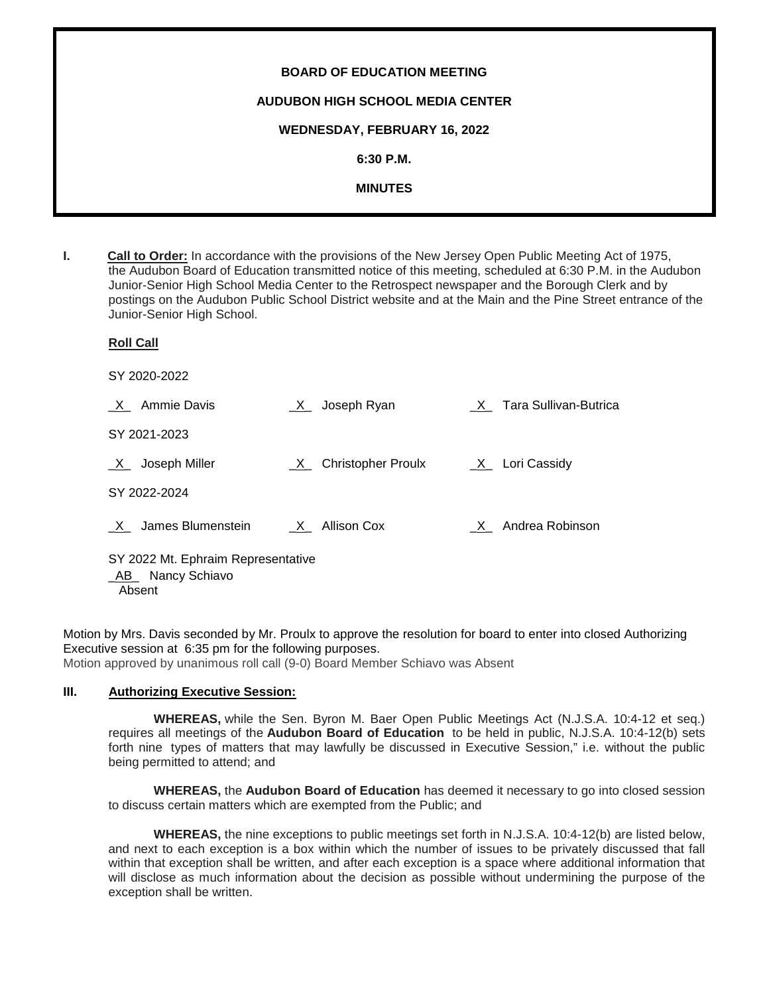| <b>BOARD OF EDUCATION MEETING</b>       |
|-----------------------------------------|
| <b>AUDUBON HIGH SCHOOL MEDIA CENTER</b> |
| WEDNESDAY, FEBRUARY 16, 2022            |
| 6:30 P.M.                               |
| <b>MINUTES</b>                          |
|                                         |

**I. Call to Order:** In accordance with the provisions of the New Jersey Open Public Meeting Act of 1975, the Audubon Board of Education transmitted notice of this meeting, scheduled at 6:30 P.M. in the Audubon Junior-Senior High School Media Center to the Retrospect newspaper and the Borough Clerk and by postings on the Audubon Public School District website and at the Main and the Pine Street entrance of the Junior-Senior High School.

| <b>Roll Call</b>                                                 |                        |                         |
|------------------------------------------------------------------|------------------------|-------------------------|
| SY 2020-2022                                                     |                        |                         |
| X Ammie Davis                                                    | Joseph Ryan<br>X       | X Tara Sullivan-Butrica |
| SY 2021-2023                                                     |                        |                         |
| $X$ Joseph Miller                                                | _X_ Christopher Proulx | $X_$ Lori Cassidy       |
| SY 2022-2024                                                     |                        |                         |
| X James Blumenstein                                              | X Allison Cox          | X Andrea Robinson       |
| SY 2022 Mt. Ephraim Representative<br>AB Nancy Schiavo<br>Absent |                        |                         |

Motion by Mrs. Davis seconded by Mr. Proulx to approve the resolution for board to enter into closed Authorizing Executive session at 6:35 pm for the following purposes. Motion approved by unanimous roll call (9-0) Board Member Schiavo was Absent

### **III. Authorizing Executive Session:**

**WHEREAS,** while the Sen. Byron M. Baer Open Public Meetings Act (N.J.S.A. 10:4-12 et seq.) requires all meetings of the **Audubon Board of Education** to be held in public, N.J.S.A. 10:4-12(b) sets forth nine types of matters that may lawfully be discussed in Executive Session," i.e. without the public being permitted to attend; and

**WHEREAS,** the **Audubon Board of Education** has deemed it necessary to go into closed session to discuss certain matters which are exempted from the Public; and

**WHEREAS,** the nine exceptions to public meetings set forth in N.J.S.A. 10:4-12(b) are listed below, and next to each exception is a box within which the number of issues to be privately discussed that fall within that exception shall be written, and after each exception is a space where additional information that will disclose as much information about the decision as possible without undermining the purpose of the exception shall be written.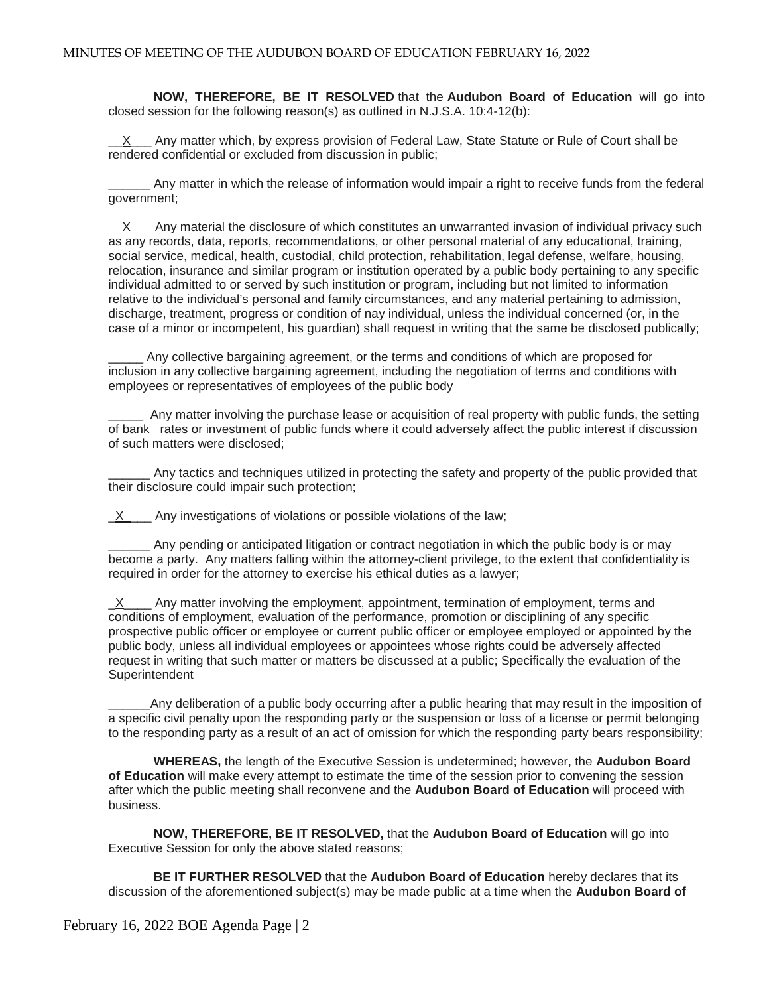**NOW, THEREFORE, BE IT RESOLVED** that the **Audubon Board of Education** will go into closed session for the following reason(s) as outlined in N.J.S.A. 10:4-12(b):

 $X$  Any matter which, by express provision of Federal Law, State Statute or Rule of Court shall be rendered confidential or excluded from discussion in public;

\_\_\_\_\_\_ Any matter in which the release of information would impair a right to receive funds from the federal government;

X Any material the disclosure of which constitutes an unwarranted invasion of individual privacy such as any records, data, reports, recommendations, or other personal material of any educational, training, social service, medical, health, custodial, child protection, rehabilitation, legal defense, welfare, housing, relocation, insurance and similar program or institution operated by a public body pertaining to any specific individual admitted to or served by such institution or program, including but not limited to information relative to the individual's personal and family circumstances, and any material pertaining to admission, discharge, treatment, progress or condition of nay individual, unless the individual concerned (or, in the case of a minor or incompetent, his guardian) shall request in writing that the same be disclosed publically;

Any collective bargaining agreement, or the terms and conditions of which are proposed for inclusion in any collective bargaining agreement, including the negotiation of terms and conditions with employees or representatives of employees of the public body

Any matter involving the purchase lease or acquisition of real property with public funds, the setting of bank rates or investment of public funds where it could adversely affect the public interest if discussion of such matters were disclosed;

Any tactics and techniques utilized in protecting the safety and property of the public provided that their disclosure could impair such protection;

 $X$  Any investigations of violations or possible violations of the law;

\_\_\_\_\_\_ Any pending or anticipated litigation or contract negotiation in which the public body is or may become a party. Any matters falling within the attorney-client privilege, to the extent that confidentiality is required in order for the attorney to exercise his ethical duties as a lawyer;

 $\underline{X}$  Any matter involving the employment, appointment, termination of employment, terms and conditions of employment, evaluation of the performance, promotion or disciplining of any specific prospective public officer or employee or current public officer or employee employed or appointed by the public body, unless all individual employees or appointees whose rights could be adversely affected request in writing that such matter or matters be discussed at a public; Specifically the evaluation of the **Superintendent** 

\_\_\_\_\_\_Any deliberation of a public body occurring after a public hearing that may result in the imposition of a specific civil penalty upon the responding party or the suspension or loss of a license or permit belonging to the responding party as a result of an act of omission for which the responding party bears responsibility;

**WHEREAS,** the length of the Executive Session is undetermined; however, the **Audubon Board of Education** will make every attempt to estimate the time of the session prior to convening the session after which the public meeting shall reconvene and the **Audubon Board of Education** will proceed with business.

**NOW, THEREFORE, BE IT RESOLVED,** that the **Audubon Board of Education** will go into Executive Session for only the above stated reasons;

**BE IT FURTHER RESOLVED** that the **Audubon Board of Education** hereby declares that its discussion of the aforementioned subject(s) may be made public at a time when the **Audubon Board of**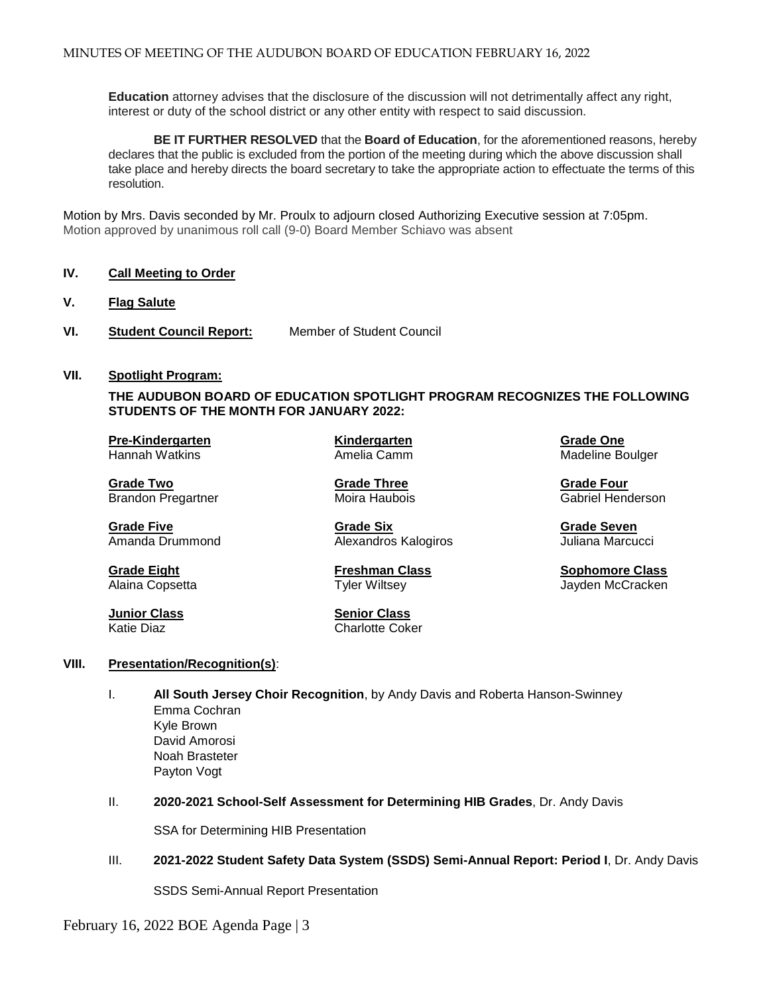**Education** attorney advises that the disclosure of the discussion will not detrimentally affect any right, interest or duty of the school district or any other entity with respect to said discussion.

**BE IT FURTHER RESOLVED** that the **Board of Education**, for the aforementioned reasons, hereby declares that the public is excluded from the portion of the meeting during which the above discussion shall take place and hereby directs the board secretary to take the appropriate action to effectuate the terms of this resolution.

Motion by Mrs. Davis seconded by Mr. Proulx to adjourn closed Authorizing Executive session at 7:05pm. Motion approved by unanimous roll call (9-0) Board Member Schiavo was absent

### **IV. Call Meeting to Order**

- **V. Flag Salute**
- **VI. Student Council Report:** Member of Student Council

#### **VII. Spotlight Program:**

**THE AUDUBON BOARD OF EDUCATION SPOTLIGHT PROGRAM RECOGNIZES THE FOLLOWING STUDENTS OF THE MONTH FOR JANUARY 2022:**

**Pre-Kindergarten Kindergarten Grade One**

Brandon Pregartner

**Grade Five Grade Six Grade Seven** Alexandros Kalogiros

**Junior Class Senior Class**  Charlotte Coker Madeline Boulger

**Grade Two Grade Three Crade Three Crade Three Crade Four Grade Four<br>Brandon Pregartner Crame Moira Haubois Crame Crade Henderson** 

**Grade Eight Freshman Class Sophomore Class** Jayden McCracken

#### **VIII. Presentation/Recognition(s)**:

- I. **All South Jersey Choir Recognition**, by Andy Davis and Roberta Hanson-Swinney Emma Cochran Kyle Brown David Amorosi Noah Brasteter Payton Vogt
- II. **2020-2021 School-Self Assessment for Determining HIB Grades**, Dr. Andy Davis

SSA for Determining HIB Presentation

III. **2021-2022 Student Safety Data System (SSDS) Semi-Annual Report: Period I**, Dr. Andy Davis

SSDS Semi-Annual Report Presentation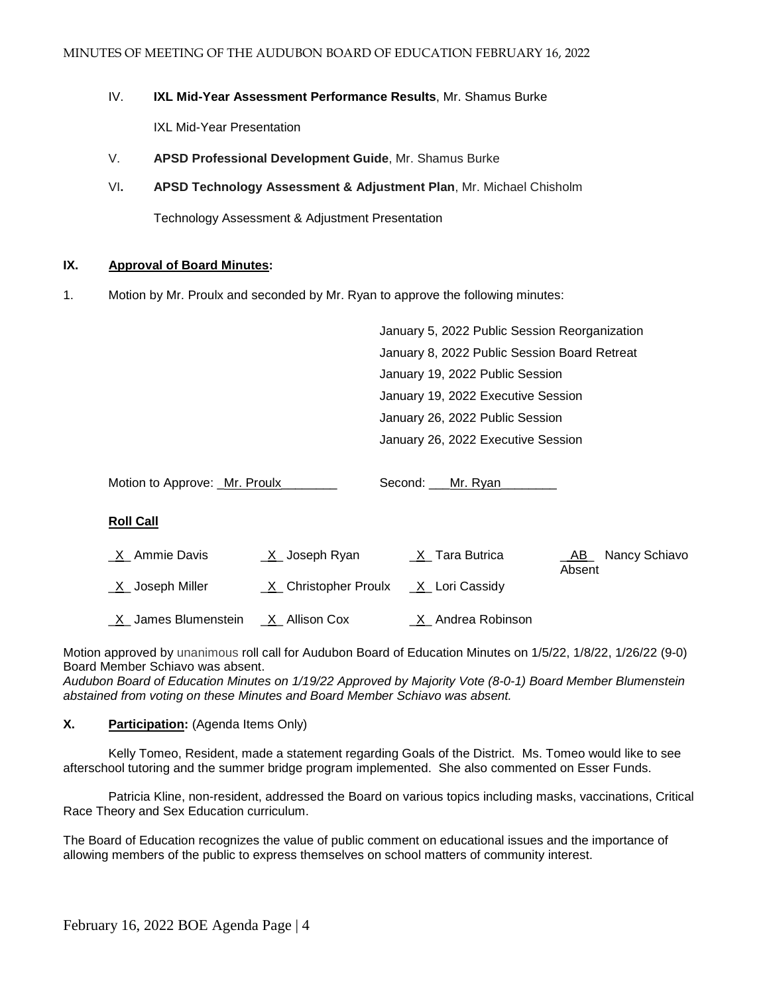### IV. **IXL Mid-Year Assessment Performance Results**, Mr. Shamus Burke

IXL Mid-Year Presentation

- V. **APSD Professional Development Guide**, Mr. Shamus Burke
- VI**. APSD Technology Assessment & Adjustment Plan**, Mr. Michael Chisholm

Technology Assessment & Adjustment Presentation

### **IX. Approval of Board Minutes:**

1. Motion by Mr. Proulx and seconded by Mr. Ryan to approve the following minutes:

January 5, 2022 Public Session Reorganization January 8, 2022 Public Session Board Retreat January 19, 2022 Public Session January 19, 2022 Executive Session January 26, 2022 Public Session January 26, 2022 Executive Session

Motion to Approve: Mr. Proulx \_\_\_\_\_\_\_ Second: \_\_Mr. Ryan

## **Roll Call**

| <u>X</u> Ammie Davis  | <u>X</u> Joseph Ryan     | X Tara Butrica              | Nancy Schiavo<br>AB<br>Absent |
|-----------------------|--------------------------|-----------------------------|-------------------------------|
| _X_ Joseph Miller     | X Christopher Proulx     | _X_ Lori Cassidy            |                               |
| _X_ James Blumenstein | _ <u>X</u> _ Allison Cox | <u>_X</u> _ Andrea Robinson |                               |

Motion approved by unanimous roll call for Audubon Board of Education Minutes on 1/5/22, 1/8/22, 1/26/22 (9-0) Board Member Schiavo was absent.

*Audubon Board of Education Minutes on 1/19/22 Approved by Majority Vote (8-0-1) Board Member Blumenstein abstained from voting on these Minutes and Board Member Schiavo was absent.*

## **X. Participation:** (Agenda Items Only)

Kelly Tomeo, Resident, made a statement regarding Goals of the District. Ms. Tomeo would like to see afterschool tutoring and the summer bridge program implemented. She also commented on Esser Funds.

Patricia Kline, non-resident, addressed the Board on various topics including masks, vaccinations, Critical Race Theory and Sex Education curriculum.

The Board of Education recognizes the value of public comment on educational issues and the importance of allowing members of the public to express themselves on school matters of community interest.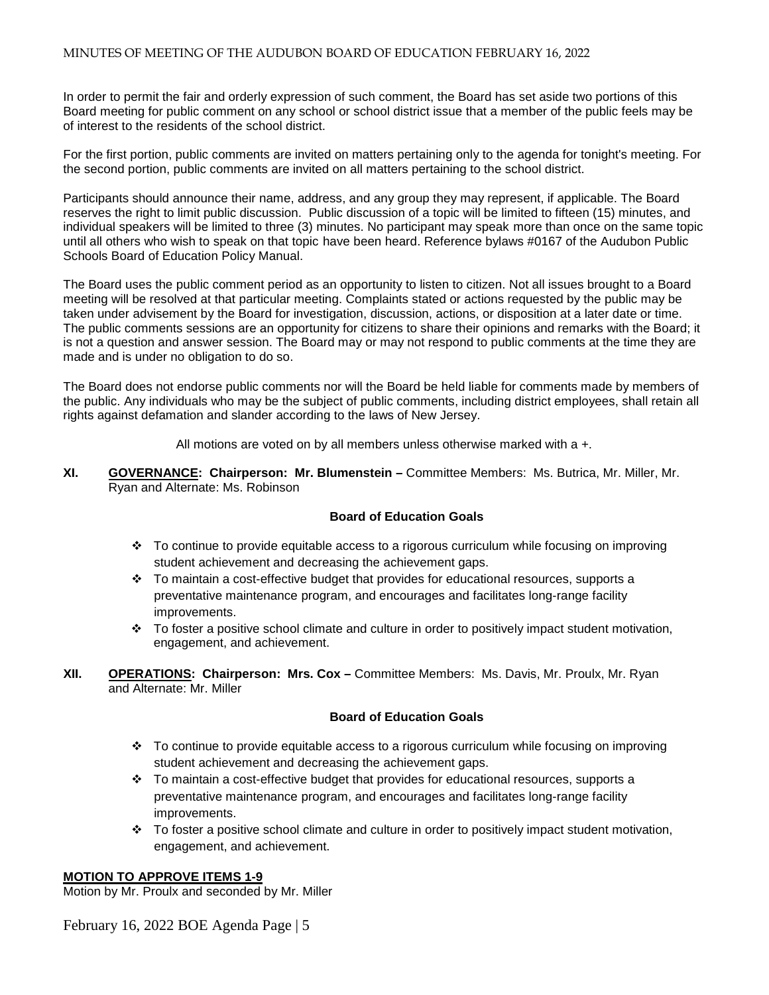In order to permit the fair and orderly expression of such comment, the Board has set aside two portions of this Board meeting for public comment on any school or school district issue that a member of the public feels may be of interest to the residents of the school district.

For the first portion, public comments are invited on matters pertaining only to the agenda for tonight's meeting. For the second portion, public comments are invited on all matters pertaining to the school district.

Participants should announce their name, address, and any group they may represent, if applicable. The Board reserves the right to limit public discussion. Public discussion of a topic will be limited to fifteen (15) minutes, and individual speakers will be limited to three (3) minutes. No participant may speak more than once on the same topic until all others who wish to speak on that topic have been heard. Reference bylaws #0167 of the Audubon Public Schools Board of Education Policy Manual.

The Board uses the public comment period as an opportunity to listen to citizen. Not all issues brought to a Board meeting will be resolved at that particular meeting. Complaints stated or actions requested by the public may be taken under advisement by the Board for investigation, discussion, actions, or disposition at a later date or time. The public comments sessions are an opportunity for citizens to share their opinions and remarks with the Board; it is not a question and answer session. The Board may or may not respond to public comments at the time they are made and is under no obligation to do so.

The Board does not endorse public comments nor will the Board be held liable for comments made by members of the public. Any individuals who may be the subject of public comments, including district employees, shall retain all rights against defamation and slander according to the laws of New Jersey.

All motions are voted on by all members unless otherwise marked with a +.

**XI. GOVERNANCE: Chairperson: Mr. Blumenstein –** Committee Members: Ms. Butrica, Mr. Miller, Mr. Ryan and Alternate: Ms. Robinson

## **Board of Education Goals**

- To continue to provide equitable access to a rigorous curriculum while focusing on improving student achievement and decreasing the achievement gaps.
- $\div$  To maintain a cost-effective budget that provides for educational resources, supports a preventative maintenance program, and encourages and facilitates long-range facility improvements.
- To foster a positive school climate and culture in order to positively impact student motivation, engagement, and achievement.
- **XII. OPERATIONS: Chairperson: Mrs. Cox –** Committee Members: Ms. Davis, Mr. Proulx, Mr. Ryan and Alternate: Mr. Miller

## **Board of Education Goals**

- To continue to provide equitable access to a rigorous curriculum while focusing on improving student achievement and decreasing the achievement gaps.
- $\div$  To maintain a cost-effective budget that provides for educational resources, supports a preventative maintenance program, and encourages and facilitates long-range facility improvements.
- To foster a positive school climate and culture in order to positively impact student motivation, engagement, and achievement.

## **MOTION TO APPROVE ITEMS 1-9**

Motion by Mr. Proulx and seconded by Mr. Miller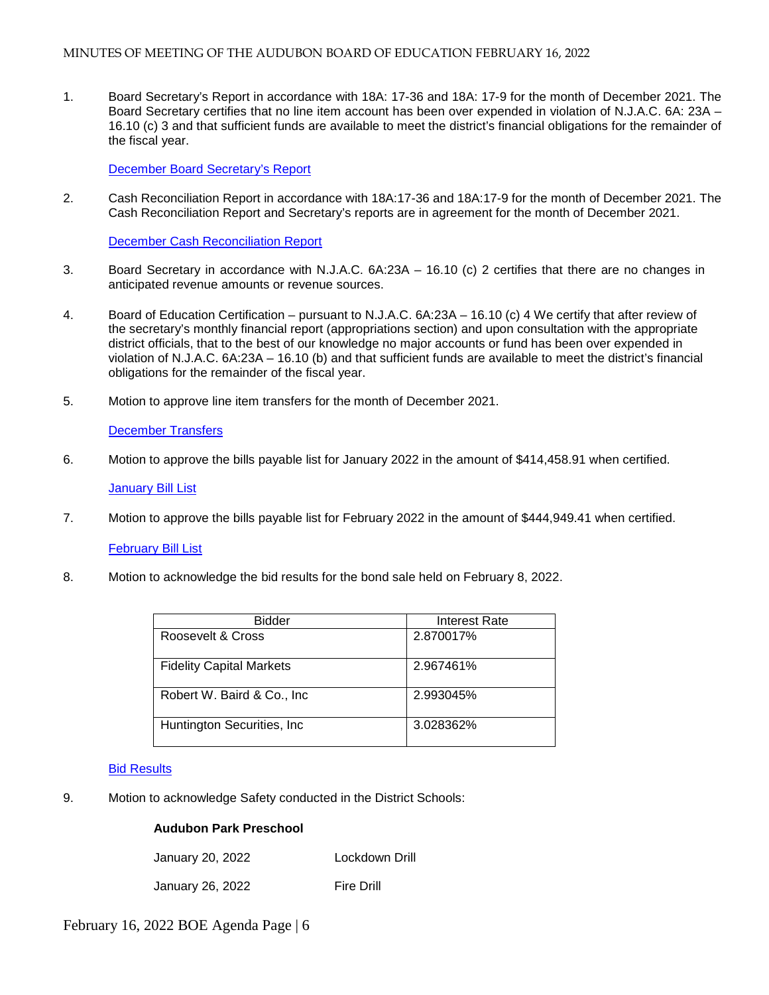1. Board Secretary's Report in accordance with 18A: 17-36 and 18A: 17-9 for the month of December 2021. The Board Secretary certifies that no line item account has been over expended in violation of N.J.A.C. 6A: 23A – 16.10 (c) 3 and that sufficient funds are available to meet the district's financial obligations for the remainder of the fiscal year.

[December Board Secretary's Report](https://docs.google.com/a/audubonschools.org/viewer?a=v&pid=sites&srcid=YXVkdWJvbnNjaG9vbHMub3JnfGJvYXJkLWFnZW5kYXxneDo3NzdmM2QxYWNjZjE5ODM0)

2. Cash Reconciliation Report in accordance with 18A:17-36 and 18A:17-9 for the month of December 2021. The Cash Reconciliation Report and Secretary's reports are in agreement for the month of December 2021.

[December Cash Reconciliation Report](https://docs.google.com/a/audubonschools.org/viewer?a=v&pid=sites&srcid=YXVkdWJvbnNjaG9vbHMub3JnfGJvYXJkLWFnZW5kYXxneDo1MzM1Y2JhMGJiYWI0NDk3)

- 3.Board Secretary in accordance with N.J.A.C. 6A:23A 16.10 (c) 2 certifies that there are no changes in anticipated revenue amounts or revenue sources.
- 4. Board of Education Certification pursuant to N.J.A.C. 6A:23A 16.10 (c) 4 We certify that after review of the secretary's monthly financial report (appropriations section) and upon consultation with the appropriate district officials, that to the best of our knowledge no major accounts or fund has been over expended in violation of N.J.A.C. 6A:23A – 16.10 (b) and that sufficient funds are available to meet the district's financial obligations for the remainder of the fiscal year.
- 5. Motion to approve line item transfers for the month of December 2021.

### [December Transfers](https://docs.google.com/a/audubonschools.org/viewer?a=v&pid=sites&srcid=YXVkdWJvbnNjaG9vbHMub3JnfGJvYXJkLWFnZW5kYXxneDoyYjhlZDgxYWVlMjdlZTIz)

6. Motion to approve the bills payable list for January 2022 in the amount of \$414,458.91 when certified.

#### [January Bill List](https://docs.google.com/a/audubonschools.org/viewer?a=v&pid=sites&srcid=YXVkdWJvbnNjaG9vbHMub3JnfGJvYXJkLWFnZW5kYXxneDo1MDA4ODI4M2M4ZWU0YjFm)

7. Motion to approve the bills payable list for February 2022 in the amount of \$444,949.41 when certified.

#### [February Bill List](https://docs.google.com/a/audubonschools.org/viewer?a=v&pid=sites&srcid=YXVkdWJvbnNjaG9vbHMub3JnfGJvYXJkLWFnZW5kYXxneDo2NjhlMDk4NjZmNTZhYzJj)

8. Motion to acknowledge the bid results for the bond sale held on February 8, 2022.

| <b>Bidder</b>                   | Interest Rate |
|---------------------------------|---------------|
| Roosevelt & Cross               | 2.870017%     |
| <b>Fidelity Capital Markets</b> | 2.967461%     |
| Robert W. Baird & Co., Inc.     | 2.993045%     |
| Huntington Securities, Inc.     | 3.028362%     |

#### [Bid Results](https://docs.google.com/a/audubonschools.org/viewer?a=v&pid=sites&srcid=YXVkdWJvbnNjaG9vbHMub3JnfGJvYXJkLWFnZW5kYXxneDo2MjJmMmEyYWRjMWM2NTky)

9. Motion to acknowledge Safety conducted in the District Schools:

## **Audubon Park Preschool**

| January 20, 2022 | Lockdown Drill |
|------------------|----------------|
|                  |                |

January 26, 2022 Fire Drill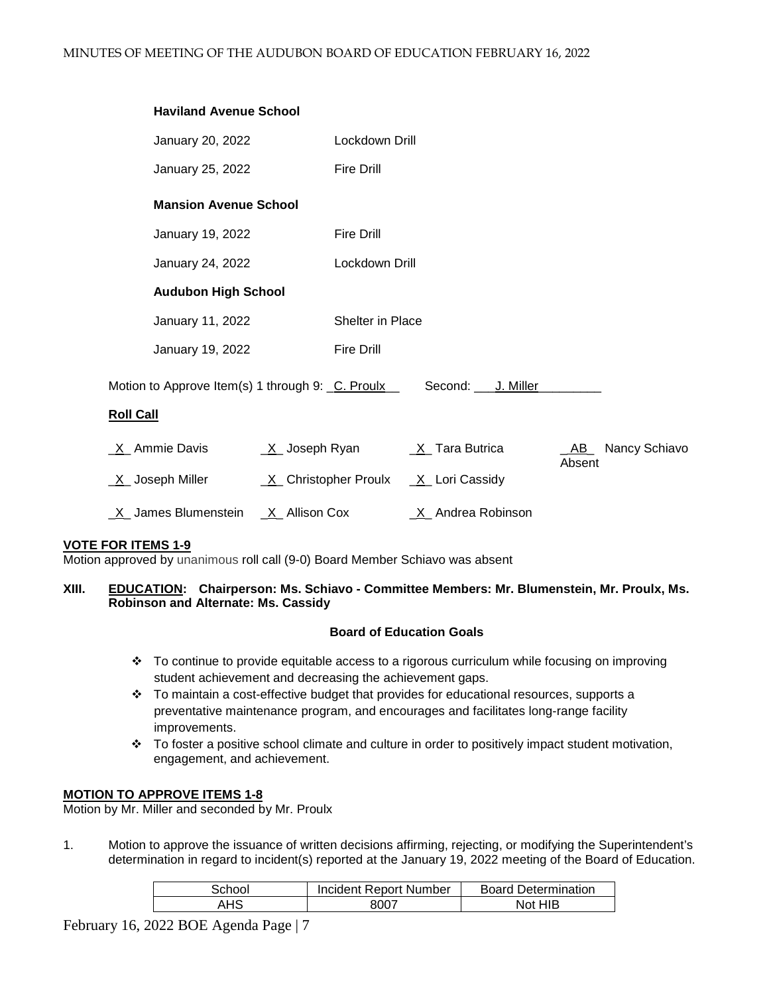| <b>Haviland Avenue School</b>                                        |                              |                         |                     |
|----------------------------------------------------------------------|------------------------------|-------------------------|---------------------|
| January 20, 2022                                                     | Lockdown Drill               |                         |                     |
| January 25, 2022                                                     | <b>Fire Drill</b>            |                         |                     |
| <b>Mansion Avenue School</b>                                         |                              |                         |                     |
| January 19, 2022                                                     | <b>Fire Drill</b>            |                         |                     |
| January 24, 2022                                                     | Lockdown Drill               |                         |                     |
| <b>Audubon High School</b>                                           |                              |                         |                     |
| January 11, 2022                                                     | Shelter in Place             |                         |                     |
| January 19, 2022                                                     | <b>Fire Drill</b>            |                         |                     |
| Motion to Approve Item(s) 1 through 9: C. Proulx<br><b>Roll Call</b> |                              | Second: ____ J. Miller_ |                     |
| X Ammie Davis                                                        | <u>X</u> Joseph Ryan         | $X$ Tara Butrica        | Nancy Schiavo<br>AB |
| <u>X</u> Joseph Miller                                               | <u>X</u> Christopher Proulx  | X Lori Cassidy          | Absent              |
| X James Blumenstein                                                  | $X$ <sub>_</sub> Allison Cox | _X_ Andrea Robinson     |                     |

# **VOTE FOR ITEMS 1-9**

Motion approved by unanimous roll call (9-0) Board Member Schiavo was absent

### **XIII. EDUCATION: Chairperson: Ms. Schiavo - Committee Members: Mr. Blumenstein, Mr. Proulx, Ms. Robinson and Alternate: Ms. Cassidy**

#### **Board of Education Goals**

- To continue to provide equitable access to a rigorous curriculum while focusing on improving student achievement and decreasing the achievement gaps.
- $\div$  To maintain a cost-effective budget that provides for educational resources, supports a preventative maintenance program, and encourages and facilitates long-range facility improvements.
- To foster a positive school climate and culture in order to positively impact student motivation, engagement, and achievement.

## **MOTION TO APPROVE ITEMS 1-8**

Motion by Mr. Miller and seconded by Mr. Proulx

1. Motion to approve the issuance of written decisions affirming, rejecting, or modifying the Superintendent's determination in regard to incident(s) reported at the January 19, 2022 meeting of the Board of Education.

| School | Incident Report Number | <b>Board Determination</b> |
|--------|------------------------|----------------------------|
| AHS    | 8007                   | Not HIB                    |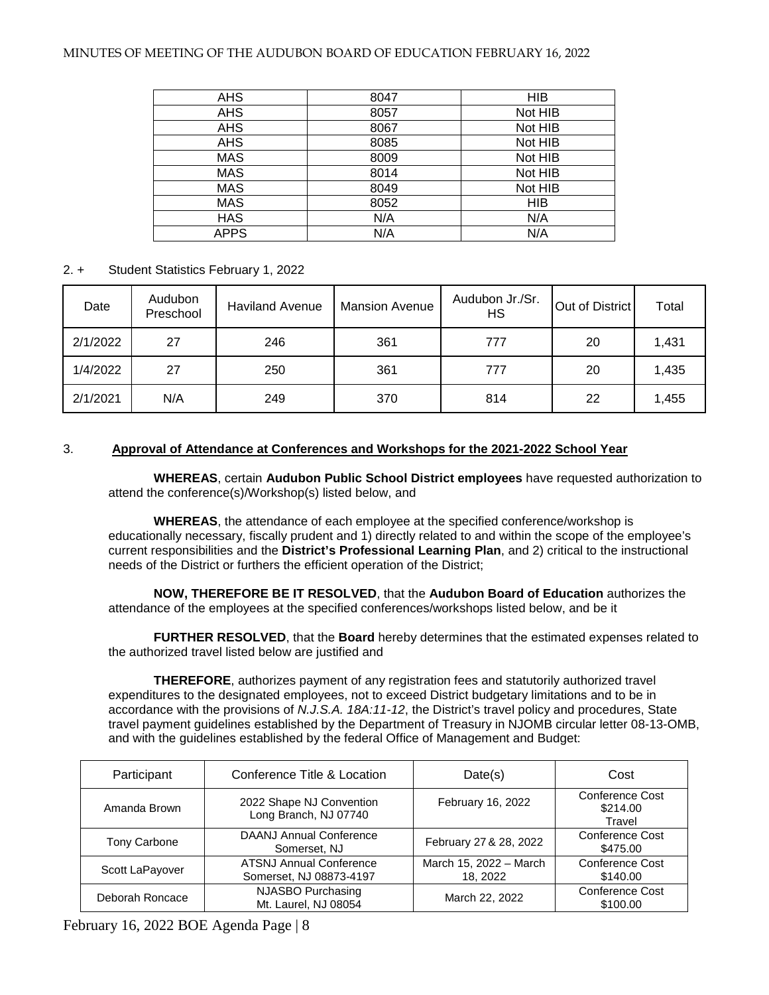### MINUTES OF MEETING OF THE AUDUBON BOARD OF EDUCATION FEBRUARY 16, 2022

| <b>AHS</b>  | 8047 | <b>HIB</b> |
|-------------|------|------------|
| <b>AHS</b>  | 8057 | Not HIB    |
| <b>AHS</b>  | 8067 | Not HIB    |
| <b>AHS</b>  | 8085 | Not HIB    |
| <b>MAS</b>  | 8009 | Not HIB    |
| <b>MAS</b>  | 8014 | Not HIB    |
| <b>MAS</b>  | 8049 | Not HIB    |
| <b>MAS</b>  | 8052 | <b>HIB</b> |
| <b>HAS</b>  | N/A  | N/A        |
| <b>APPS</b> | N/A  | N/A        |

### 2. + Student Statistics February 1, 2022

| Date     | Audubon<br>Preschool | <b>Haviland Avenue</b> | <b>Mansion Avenue</b> | Audubon Jr./Sr.<br>НS | Out of District | Total |
|----------|----------------------|------------------------|-----------------------|-----------------------|-----------------|-------|
| 2/1/2022 | 27                   | 246                    | 361                   | 777                   | 20              | 1,431 |
| 1/4/2022 | 27                   | 250                    | 361                   | 777                   | 20              | 1,435 |
| 2/1/2021 | N/A                  | 249                    | 370                   | 814                   | 22              | 1,455 |

# 3. **Approval of Attendance at Conferences and Workshops for the 2021-2022 School Year**

 **WHEREAS**, certain **Audubon Public School District employees** have requested authorization to attend the conference(s)/Workshop(s) listed below, and

**WHEREAS**, the attendance of each employee at the specified conference/workshop is educationally necessary, fiscally prudent and 1) directly related to and within the scope of the employee's current responsibilities and the **District's Professional Learning Plan**, and 2) critical to the instructional needs of the District or furthers the efficient operation of the District;

**NOW, THEREFORE BE IT RESOLVED**, that the **Audubon Board of Education** authorizes the attendance of the employees at the specified conferences/workshops listed below, and be it

**FURTHER RESOLVED**, that the **Board** hereby determines that the estimated expenses related to the authorized travel listed below are justified and

**THEREFORE**, authorizes payment of any registration fees and statutorily authorized travel expenditures to the designated employees, not to exceed District budgetary limitations and to be in accordance with the provisions of *N.J.S.A. 18A:11-12*, the District's travel policy and procedures, State travel payment guidelines established by the Department of Treasury in NJOMB circular letter 08-13-OMB, and with the guidelines established by the federal Office of Management and Budget:

| Participant         | Conference Title & Location                               |                                    | Cost                                  |
|---------------------|-----------------------------------------------------------|------------------------------------|---------------------------------------|
| Amanda Brown        | 2022 Shape NJ Convention<br>Long Branch, NJ 07740         | February 16, 2022                  | Conference Cost<br>\$214.00<br>Travel |
| <b>Tony Carbone</b> | <b>DAANJ Annual Conference</b><br>Somerset, NJ            | February 27 & 28, 2022             | Conference Cost<br>\$475.00           |
| Scott LaPayover     | <b>ATSNJ Annual Conference</b><br>Somerset, NJ 08873-4197 | March 15, 2022 - March<br>18, 2022 | Conference Cost<br>\$140.00           |
| Deborah Roncace     | NJASBO Purchasing<br>Mt. Laurel, NJ 08054                 | March 22, 2022                     | Conference Cost<br>\$100.00           |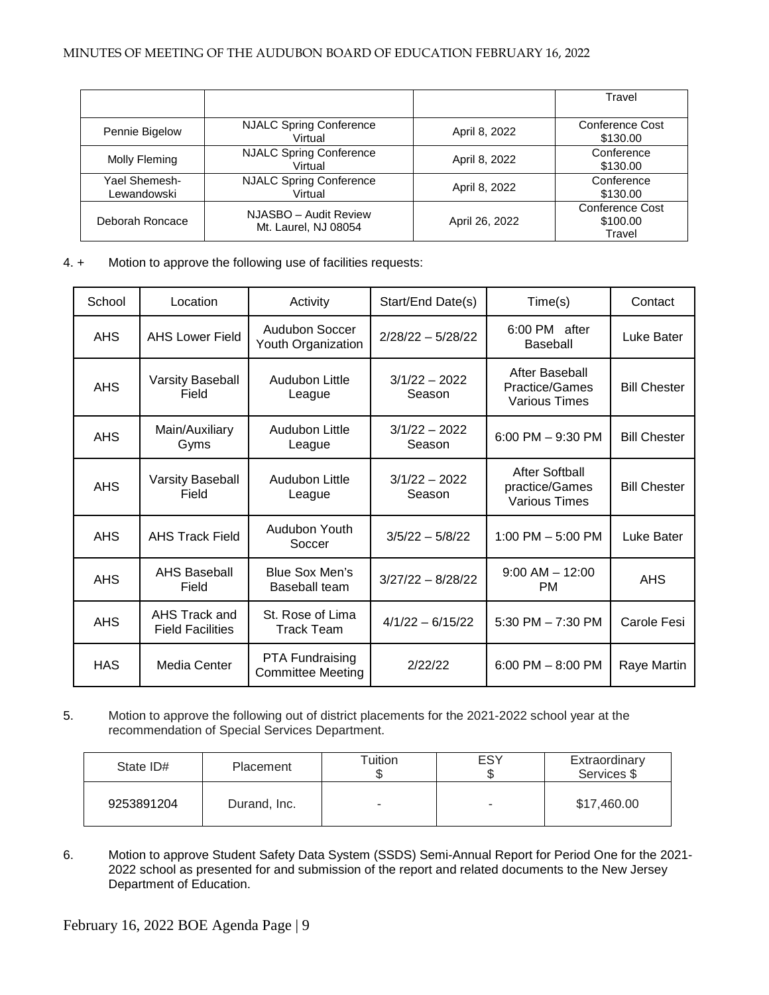|                              |                                               |                | Travel                                       |
|------------------------------|-----------------------------------------------|----------------|----------------------------------------------|
| Pennie Bigelow               | <b>NJALC Spring Conference</b><br>Virtual     | April 8, 2022  | Conference Cost<br>\$130.00                  |
| Molly Fleming                | <b>NJALC Spring Conference</b><br>Virtual     | April 8, 2022  | Conference<br>\$130.00                       |
| Yael Shemesh-<br>Lewandowski | <b>NJALC Spring Conference</b><br>Virtual     | April 8, 2022  | Conference<br>\$130.00                       |
| Deborah Roncace              | NJASBO - Audit Review<br>Mt. Laurel, NJ 08054 | April 26, 2022 | <b>Conference Cost</b><br>\$100.00<br>Travel |

4. + Motion to approve the following use of facilities requests:

| School     | Location                                 | Activity                                    | Start/End Date(s)         | Time(s)                                                  | Contact             |
|------------|------------------------------------------|---------------------------------------------|---------------------------|----------------------------------------------------------|---------------------|
| AHS.       | <b>AHS Lower Field</b>                   | Audubon Soccer<br>Youth Organization        | $2/28/22 - 5/28/22$       | 6:00 PM after<br><b>Baseball</b>                         | Luke Bater          |
| <b>AHS</b> | Varsity Baseball<br>Field                | Audubon Little<br>League                    | $3/1/22 - 2022$<br>Season | After Baseball<br>Practice/Games<br><b>Various Times</b> | <b>Bill Chester</b> |
| <b>AHS</b> | Main/Auxiliary<br>Gyms                   | Audubon Little<br>League                    | $3/1/22 - 2022$<br>Season | 6:00 PM $-$ 9:30 PM                                      | <b>Bill Chester</b> |
| <b>AHS</b> | Varsity Baseball<br>Field                | Audubon Little<br>League                    | $3/1/22 - 2022$<br>Season | After Softball<br>practice/Games<br><b>Various Times</b> | <b>Bill Chester</b> |
| <b>AHS</b> | <b>AHS Track Field</b>                   | Audubon Youth<br>Soccer                     | $3/5/22 - 5/8/22$         | 1:00 PM $-$ 5:00 PM                                      | Luke Bater          |
| <b>AHS</b> | <b>AHS Baseball</b><br>Field             | Blue Sox Men's<br>Baseball team             | $3/27/22 - 8/28/22$       | $9:00$ AM $-$ 12:00<br><b>PM</b>                         | <b>AHS</b>          |
| <b>AHS</b> | AHS Track and<br><b>Field Facilities</b> | St. Rose of Lima<br>Track Team              | $4/1/22 - 6/15/22$        | 5:30 PM $- 7:30$ PM                                      | Carole Fesi         |
| <b>HAS</b> | Media Center                             | PTA Fundraising<br><b>Committee Meeting</b> | 2/22/22                   | $6:00$ PM $- 8:00$ PM                                    | Raye Martin         |

5. Motion to approve the following out of district placements for the 2021-2022 school year at the recommendation of Special Services Department.

| State ID#  | Placement    | $\tau$ uition | <b>ESY</b><br>J | Extraordinary<br>Services \$ |
|------------|--------------|---------------|-----------------|------------------------------|
| 9253891204 | Durand, Inc. |               |                 | \$17,460.00                  |

6. Motion to approve Student Safety Data System (SSDS) Semi-Annual Report for Period One for the 2021- 2022 school as presented for and submission of the report and related documents to the New Jersey Department of Education.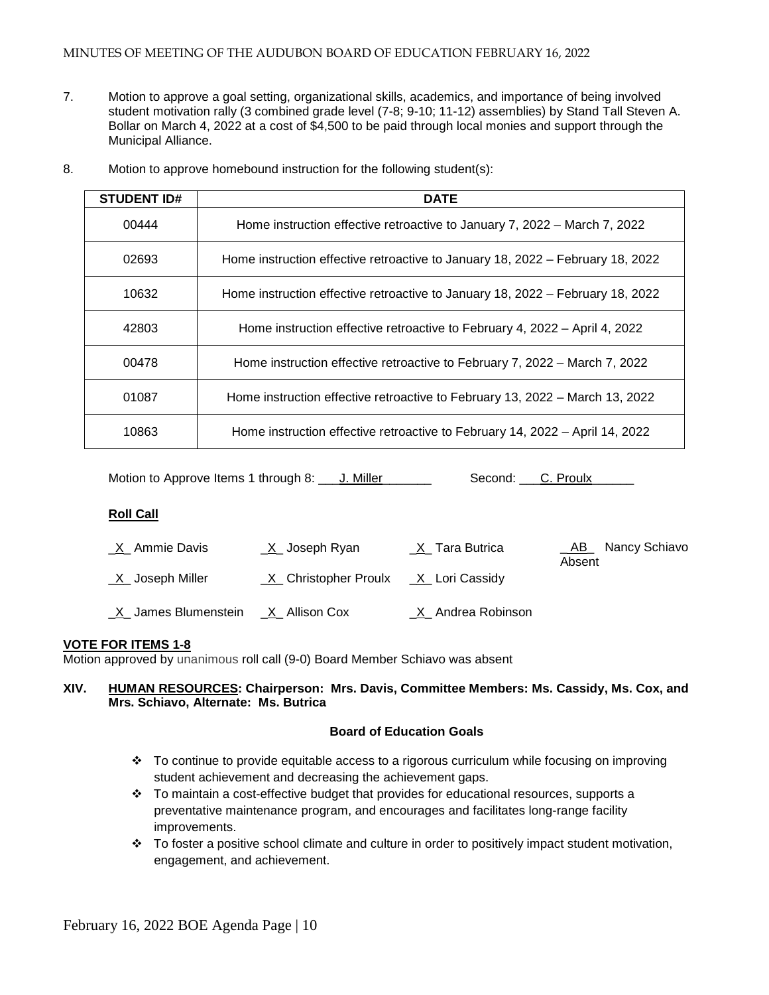7. Motion to approve a goal setting, organizational skills, academics, and importance of being involved student motivation rally (3 combined grade level (7-8; 9-10; 11-12) assemblies) by Stand Tall Steven A. Bollar on March 4, 2022 at a cost of \$4,500 to be paid through local monies and support through the Municipal Alliance.

| <b>STUDENT ID#</b> | <b>DATE</b>                                                                    |
|--------------------|--------------------------------------------------------------------------------|
| 00444              | Home instruction effective retroactive to January 7, 2022 – March 7, 2022      |
| 02693              | Home instruction effective retroactive to January 18, 2022 – February 18, 2022 |
| 10632              | Home instruction effective retroactive to January 18, 2022 – February 18, 2022 |
| 42803              | Home instruction effective retroactive to February 4, 2022 – April 4, 2022     |
| 00478              | Home instruction effective retroactive to February 7, 2022 – March 7, 2022     |
| 01087              | Home instruction effective retroactive to February 13, 2022 – March 13, 2022   |
| 10863              | Home instruction effective retroactive to February 14, 2022 - April 14, 2022   |

8. Motion to approve homebound instruction for the following student(s):

Motion to Approve Items 1 through 8:  $\Box$  J. Miller Second: C. Proulx

## **Roll Call**

| <u>X</u> Ammie Davis  | <u>X</u> Joseph Ryan                    | X Tara Butrica      | Nancy Schiavo<br>$\_$ AB $\_$<br>Absent |
|-----------------------|-----------------------------------------|---------------------|-----------------------------------------|
| $X$ Joseph Miller     | $X$ Christopher Proulx $X$ Lori Cassidy |                     |                                         |
| _X_ James Blumenstein | _X_ Allison Cox                         | _X_ Andrea Robinson |                                         |

## **VOTE FOR ITEMS 1-8**

Motion approved by unanimous roll call (9-0) Board Member Schiavo was absent

### **XIV. HUMAN RESOURCES: Chairperson: Mrs. Davis, Committee Members: Ms. Cassidy, Ms. Cox, and Mrs. Schiavo, Alternate: Ms. Butrica**

#### **Board of Education Goals**

- To continue to provide equitable access to a rigorous curriculum while focusing on improving student achievement and decreasing the achievement gaps.
- $\div$  To maintain a cost-effective budget that provides for educational resources, supports a preventative maintenance program, and encourages and facilitates long-range facility improvements.
- \* To foster a positive school climate and culture in order to positively impact student motivation, engagement, and achievement.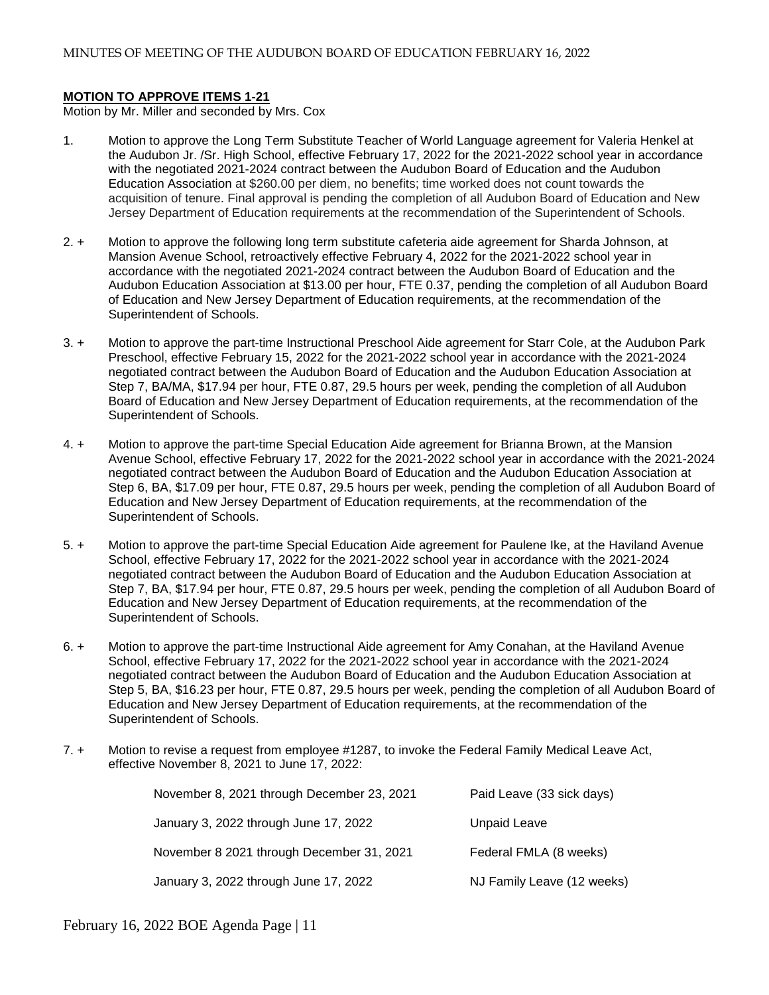### **MOTION TO APPROVE ITEMS 1-21**

Motion by Mr. Miller and seconded by Mrs. Cox

- 1. Motion to approve the Long Term Substitute Teacher of World Language agreement for Valeria Henkel at the Audubon Jr. /Sr. High School, effective February 17, 2022 for the 2021-2022 school year in accordance with the negotiated 2021-2024 contract between the Audubon Board of Education and the Audubon Education Association at \$260.00 per diem, no benefits; time worked does not count towards the acquisition of tenure. Final approval is pending the completion of all Audubon Board of Education and New Jersey Department of Education requirements at the recommendation of the Superintendent of Schools.
- 2. + Motion to approve the following long term substitute cafeteria aide agreement for Sharda Johnson, at Mansion Avenue School, retroactively effective February 4, 2022 for the 2021-2022 school year in accordance with the negotiated 2021-2024 contract between the Audubon Board of Education and the Audubon Education Association at \$13.00 per hour, FTE 0.37, pending the completion of all Audubon Board of Education and New Jersey Department of Education requirements, at the recommendation of the Superintendent of Schools.
- 3. + Motion to approve the part-time Instructional Preschool Aide agreement for Starr Cole, at the Audubon Park Preschool, effective February 15, 2022 for the 2021-2022 school year in accordance with the 2021-2024 negotiated contract between the Audubon Board of Education and the Audubon Education Association at Step 7, BA/MA, \$17.94 per hour, FTE 0.87, 29.5 hours per week, pending the completion of all Audubon Board of Education and New Jersey Department of Education requirements, at the recommendation of the Superintendent of Schools.
- 4. + Motion to approve the part-time Special Education Aide agreement for Brianna Brown, at the Mansion Avenue School, effective February 17, 2022 for the 2021-2022 school year in accordance with the 2021-2024 negotiated contract between the Audubon Board of Education and the Audubon Education Association at Step 6, BA, \$17.09 per hour, FTE 0.87, 29.5 hours per week, pending the completion of all Audubon Board of Education and New Jersey Department of Education requirements, at the recommendation of the Superintendent of Schools.
- 5. + Motion to approve the part-time Special Education Aide agreement for Paulene Ike, at the Haviland Avenue School, effective February 17, 2022 for the 2021-2022 school year in accordance with the 2021-2024 negotiated contract between the Audubon Board of Education and the Audubon Education Association at Step 7, BA, \$17.94 per hour, FTE 0.87, 29.5 hours per week, pending the completion of all Audubon Board of Education and New Jersey Department of Education requirements, at the recommendation of the Superintendent of Schools.
- 6. + Motion to approve the part-time Instructional Aide agreement for Amy Conahan, at the Haviland Avenue School, effective February 17, 2022 for the 2021-2022 school year in accordance with the 2021-2024 negotiated contract between the Audubon Board of Education and the Audubon Education Association at Step 5, BA, \$16.23 per hour, FTE 0.87, 29.5 hours per week, pending the completion of all Audubon Board of Education and New Jersey Department of Education requirements, at the recommendation of the Superintendent of Schools.
- 7. + Motion to revise a request from employee #1287, to invoke the Federal Family Medical Leave Act, effective November 8, 2021 to June 17, 2022:

| November 8, 2021 through December 23, 2021 | Paid Leave (33 sick days)  |
|--------------------------------------------|----------------------------|
| January 3, 2022 through June 17, 2022      | Unpaid Leave               |
| November 8 2021 through December 31, 2021  | Federal FMLA (8 weeks)     |
| January 3, 2022 through June 17, 2022      | NJ Family Leave (12 weeks) |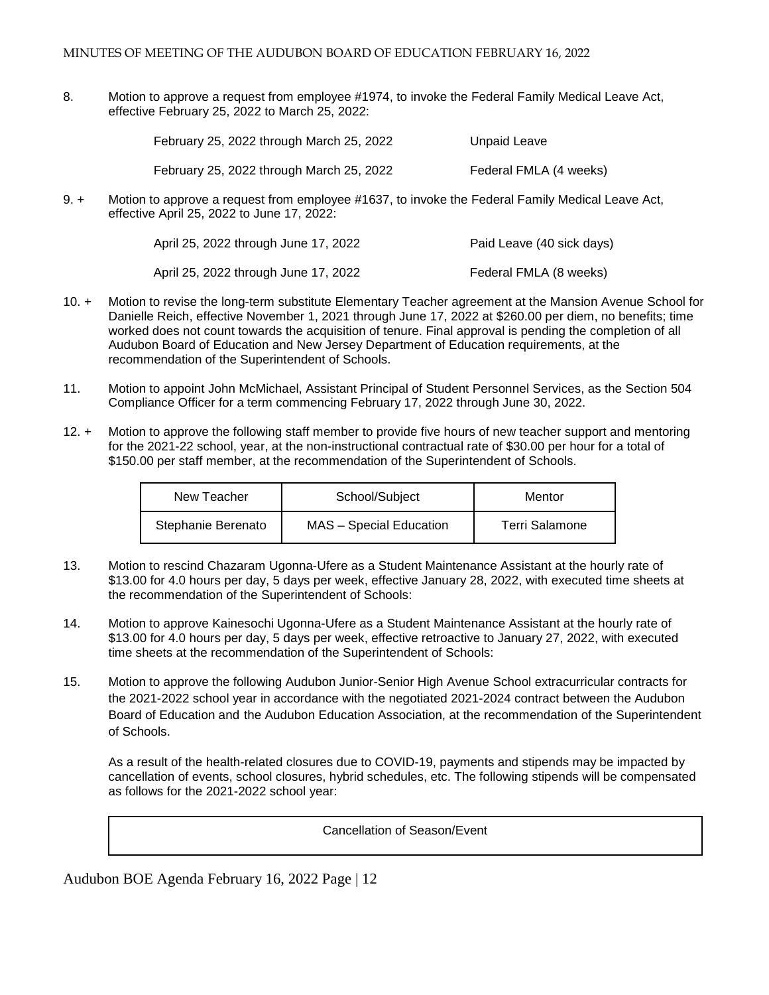8. Motion to approve a request from employee #1974, to invoke the Federal Family Medical Leave Act, effective February 25, 2022 to March 25, 2022:

| February 25, 2022 through March 25, 2022 | Unpaid Leave           |
|------------------------------------------|------------------------|
| February 25, 2022 through March 25, 2022 | Federal FMLA (4 weeks) |

9. + Motion to approve a request from employee #1637, to invoke the Federal Family Medical Leave Act, effective April 25, 2022 to June 17, 2022:

| April 25, 2022 through June 17, 2022 | Paid Leave (40 sick days) |
|--------------------------------------|---------------------------|
| April 25, 2022 through June 17, 2022 | Federal FMLA (8 weeks)    |

- 10. + Motion to revise the long-term substitute Elementary Teacher agreement at the Mansion Avenue School for Danielle Reich, effective November 1, 2021 through June 17, 2022 at \$260.00 per diem, no benefits; time worked does not count towards the acquisition of tenure. Final approval is pending the completion of all Audubon Board of Education and New Jersey Department of Education requirements, at the recommendation of the Superintendent of Schools.
- 11. Motion to appoint John McMichael, Assistant Principal of Student Personnel Services, as the Section 504 Compliance Officer for a term commencing February 17, 2022 through June 30, 2022.
- 12. + Motion to approve the following staff member to provide five hours of new teacher support and mentoring for the 2021-22 school, year, at the non-instructional contractual rate of \$30.00 per hour for a total of \$150.00 per staff member, at the recommendation of the Superintendent of Schools.

| New Teacher        | School/Subject          | Mentor         |
|--------------------|-------------------------|----------------|
| Stephanie Berenato | MAS - Special Education | Terri Salamone |

- 13. Motion to rescind Chazaram Ugonna-Ufere as a Student Maintenance Assistant at the hourly rate of \$13.00 for 4.0 hours per day, 5 days per week, effective January 28, 2022, with executed time sheets at the recommendation of the Superintendent of Schools:
- 14. Motion to approve Kainesochi Ugonna-Ufere as a Student Maintenance Assistant at the hourly rate of \$13.00 for 4.0 hours per day, 5 days per week, effective retroactive to January 27, 2022, with executed time sheets at the recommendation of the Superintendent of Schools:
- 15. Motion to approve the following Audubon Junior-Senior High Avenue School extracurricular contracts for the 2021-2022 school year in accordance with the negotiated 2021-2024 contract between the Audubon Board of Education and the Audubon Education Association, at the recommendation of the Superintendent of Schools.

As a result of the health-related closures due to COVID-19, payments and stipends may be impacted by cancellation of events, school closures, hybrid schedules, etc. The following stipends will be compensated as follows for the 2021-2022 school year:

Cancellation of Season/Event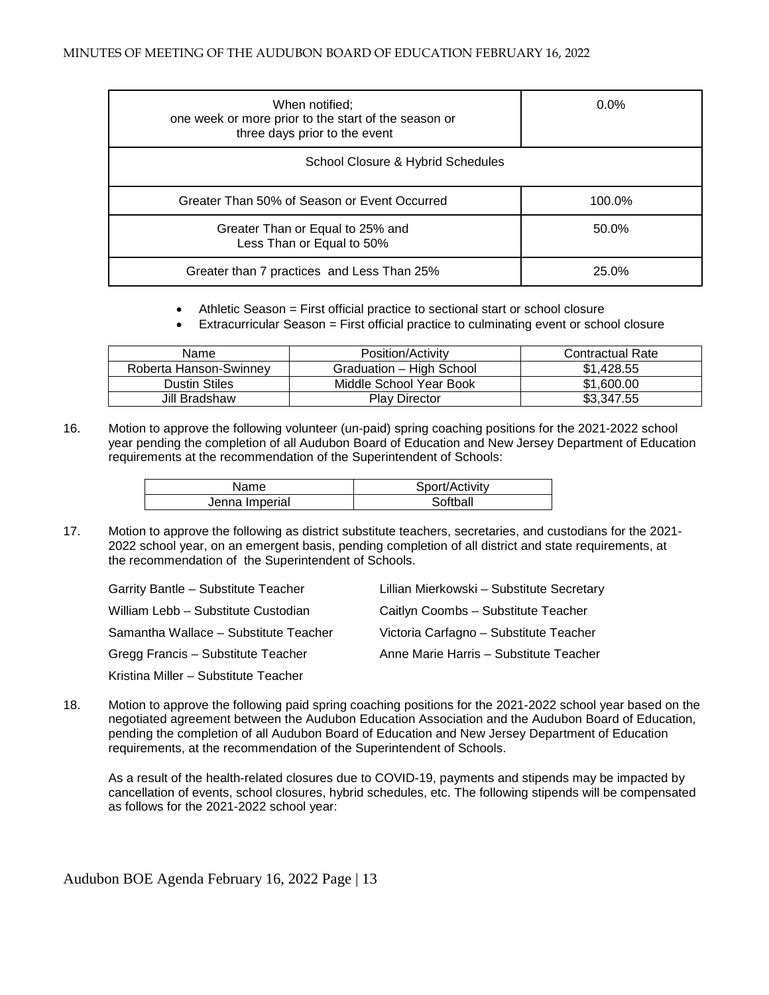| When notified;<br>one week or more prior to the start of the season or<br>three days prior to the event | $0.0\%$ |
|---------------------------------------------------------------------------------------------------------|---------|
| School Closure & Hybrid Schedules                                                                       |         |
| Greater Than 50% of Season or Event Occurred                                                            | 100.0%  |
| Greater Than or Equal to 25% and<br>Less Than or Equal to 50%                                           | 50.0%   |
| Greater than 7 practices and Less Than 25%                                                              | 25.0%   |

- Athletic Season = First official practice to sectional start or school closure
- Extracurricular Season = First official practice to culminating event or school closure

| Name                   | Position/Activity        | <b>Contractual Rate</b> |
|------------------------|--------------------------|-------------------------|
| Roberta Hanson-Swinney | Graduation - High School | \$1.428.55              |
| Dustin Stiles          | Middle School Year Book  | \$1,600,00              |
| Jill Bradshaw          | <b>Play Director</b>     | \$3,347.55              |

16. Motion to approve the following volunteer (un-paid) spring coaching positions for the 2021-2022 school year pending the completion of all Audubon Board of Education and New Jersey Department of Education requirements at the recommendation of the Superintendent of Schools:

| Name           | Sport/Activity |
|----------------|----------------|
| Jenna Imperial | Softhall       |

17. Motion to approve the following as district substitute teachers, secretaries, and custodians for the 2021- 2022 school year, on an emergent basis, pending completion of all district and state requirements, at the recommendation of the Superintendent of Schools.

| Garrity Bantle - Substitute Teacher   | Lillian Mierkowski - Substitute Secretary |
|---------------------------------------|-------------------------------------------|
| William Lebb - Substitute Custodian   | Caitlyn Coombs - Substitute Teacher       |
| Samantha Wallace - Substitute Teacher | Victoria Carfagno – Substitute Teacher    |
| Gregg Francis - Substitute Teacher    | Anne Marie Harris - Substitute Teacher    |
| Kristina Miller - Substitute Teacher  |                                           |

18. Motion to approve the following paid spring coaching positions for the 2021-2022 school year based on the negotiated agreement between the Audubon Education Association and the Audubon Board of Education, pending the completion of all Audubon Board of Education and New Jersey Department of Education requirements, at the recommendation of the Superintendent of Schools.

As a result of the health-related closures due to COVID-19, payments and stipends may be impacted by cancellation of events, school closures, hybrid schedules, etc. The following stipends will be compensated as follows for the 2021-2022 school year: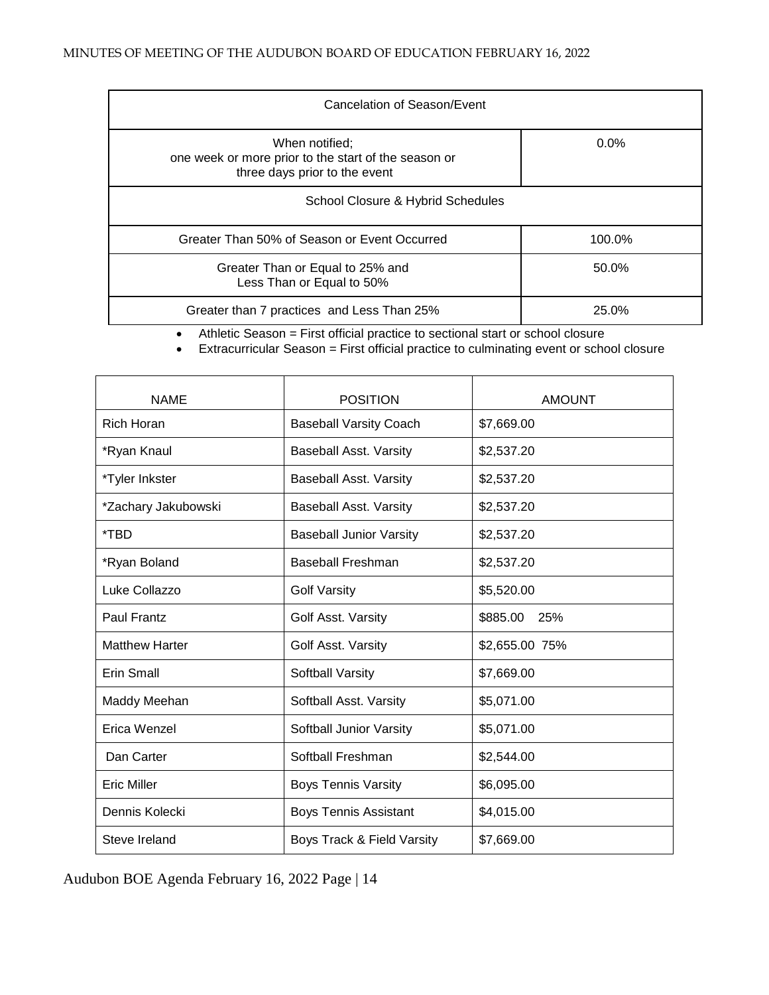| Cancelation of Season/Event                                                                             |         |  |
|---------------------------------------------------------------------------------------------------------|---------|--|
| When notified:<br>one week or more prior to the start of the season or<br>three days prior to the event | $0.0\%$ |  |
| School Closure & Hybrid Schedules                                                                       |         |  |
| Greater Than 50% of Season or Event Occurred                                                            | 100.0%  |  |
| Greater Than or Equal to 25% and<br>Less Than or Equal to 50%                                           | 50.0%   |  |
| Greater than 7 practices and Less Than 25%                                                              | 25.0%   |  |

• Athletic Season = First official practice to sectional start or school closure

• Extracurricular Season = First official practice to culminating event or school closure

| <b>NAME</b>           | <b>POSITION</b>                | <b>AMOUNT</b>   |
|-----------------------|--------------------------------|-----------------|
| <b>Rich Horan</b>     | <b>Baseball Varsity Coach</b>  | \$7,669.00      |
| *Ryan Knaul           | <b>Baseball Asst. Varsity</b>  | \$2,537.20      |
| *Tyler Inkster        | <b>Baseball Asst. Varsity</b>  | \$2,537.20      |
| *Zachary Jakubowski   | <b>Baseball Asst. Varsity</b>  | \$2,537.20      |
| *TBD                  | <b>Baseball Junior Varsity</b> | \$2,537.20      |
| *Ryan Boland          | <b>Baseball Freshman</b>       | \$2,537.20      |
| Luke Collazzo         | <b>Golf Varsity</b>            | \$5,520.00      |
| Paul Frantz           | Golf Asst. Varsity             | \$885.00<br>25% |
| <b>Matthew Harter</b> | Golf Asst. Varsity             | \$2,655.00 75%  |
| <b>Erin Small</b>     | Softball Varsity               | \$7,669.00      |
| Maddy Meehan          | Softball Asst. Varsity         | \$5,071.00      |
| Erica Wenzel          | Softball Junior Varsity        | \$5,071.00      |
| Dan Carter            | Softball Freshman              | \$2,544.00      |
| <b>Eric Miller</b>    | <b>Boys Tennis Varsity</b>     | \$6,095.00      |
| Dennis Kolecki        | <b>Boys Tennis Assistant</b>   | \$4,015.00      |
| Steve Ireland         | Boys Track & Field Varsity     | \$7,669.00      |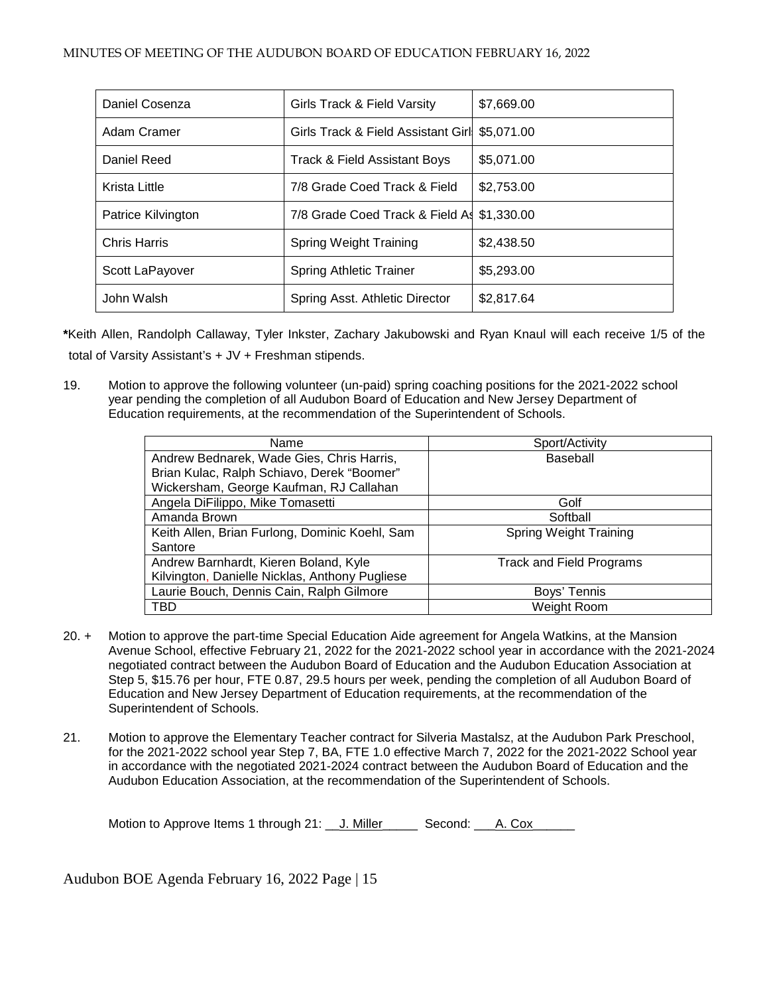| Daniel Cosenza      | Girls Track & Field Varsity         | \$7,669.00 |
|---------------------|-------------------------------------|------------|
| Adam Cramer         | Girls Track & Field Assistant Girll | \$5,071.00 |
| Daniel Reed         | Track & Field Assistant Boys        | \$5,071.00 |
| Krista Little       | 7/8 Grade Coed Track & Field        | \$2,753.00 |
| Patrice Kilvington  | 7/8 Grade Coed Track & Field As     | \$1,330.00 |
| <b>Chris Harris</b> | Spring Weight Training              | \$2,438.50 |
| Scott LaPayover     | <b>Spring Athletic Trainer</b>      | \$5,293.00 |
| John Walsh          | Spring Asst. Athletic Director      | \$2,817.64 |

**\***Keith Allen, Randolph Callaway, Tyler Inkster, Zachary Jakubowski and Ryan Knaul will each receive 1/5 of the total of Varsity Assistant's + JV + Freshman stipends.

19. Motion to approve the following volunteer (un-paid) spring coaching positions for the 2021-2022 school year pending the completion of all Audubon Board of Education and New Jersey Department of Education requirements, at the recommendation of the Superintendent of Schools.

| Name                                           | Sport/Activity                  |
|------------------------------------------------|---------------------------------|
| Andrew Bednarek, Wade Gies, Chris Harris,      | Baseball                        |
| Brian Kulac, Ralph Schiavo, Derek "Boomer"     |                                 |
| Wickersham, George Kaufman, RJ Callahan        |                                 |
| Angela DiFilippo, Mike Tomasetti               | Golf                            |
| Amanda Brown                                   | Softball                        |
| Keith Allen, Brian Furlong, Dominic Koehl, Sam | <b>Spring Weight Training</b>   |
| Santore                                        |                                 |
| Andrew Barnhardt, Kieren Boland, Kyle          | <b>Track and Field Programs</b> |
| Kilvington, Danielle Nicklas, Anthony Pugliese |                                 |
| Laurie Bouch, Dennis Cain, Ralph Gilmore       | Boys' Tennis                    |
| <b>TBD</b>                                     | Weight Room                     |

- 20. + Motion to approve the part-time Special Education Aide agreement for Angela Watkins, at the Mansion Avenue School, effective February 21, 2022 for the 2021-2022 school year in accordance with the 2021-2024 negotiated contract between the Audubon Board of Education and the Audubon Education Association at Step 5, \$15.76 per hour, FTE 0.87, 29.5 hours per week, pending the completion of all Audubon Board of Education and New Jersey Department of Education requirements, at the recommendation of the Superintendent of Schools.
- 21. Motion to approve the Elementary Teacher contract for Silveria Mastalsz, at the Audubon Park Preschool, for the 2021-2022 school year Step 7, BA, FTE 1.0 effective March 7, 2022 for the 2021-2022 School year in accordance with the negotiated 2021-2024 contract between the Audubon Board of Education and the Audubon Education Association, at the recommendation of the Superintendent of Schools.

Motion to Approve Items 1 through 21: J. Miller Second: A. Cox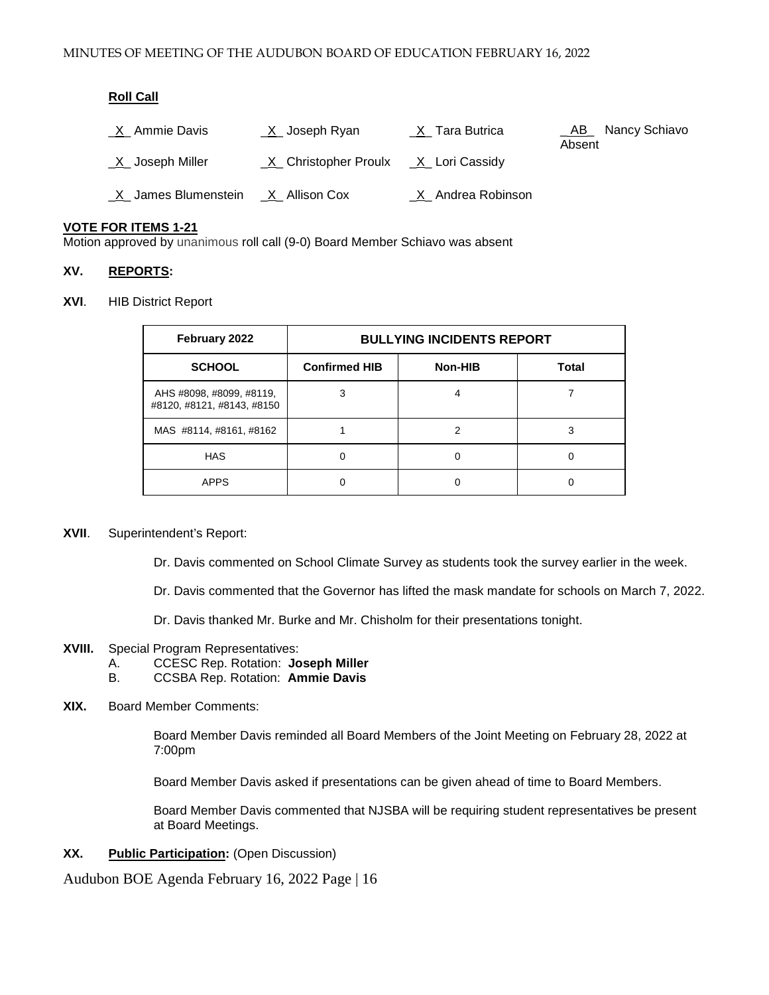## **Roll Call**

| <u>X</u> Ammie Davis                   | $X$ Joseph Ryan                         | $X$ <sub>_</sub> Tara Butrica | _AB_ Nancy Schiavo<br>Absent |
|----------------------------------------|-----------------------------------------|-------------------------------|------------------------------|
| $X$ Joseph Miller                      | $X$ Christopher Proulx $X$ Lori Cassidy |                               |                              |
| _X_ James Blumenstein __X_ Allison Cox |                                         | _X_ Andrea Robinson           |                              |

## **VOTE FOR ITEMS 1-21**

Motion approved by unanimous roll call (9-0) Board Member Schiavo was absent

### **XV. REPORTS:**

#### **XVI**. HIB District Report

| February 2022                                          | <b>BULLYING INCIDENTS REPORT</b> |         |              |
|--------------------------------------------------------|----------------------------------|---------|--------------|
| <b>SCHOOL</b>                                          | <b>Confirmed HIB</b>             | Non-HIB | <b>Total</b> |
| AHS #8098, #8099, #8119,<br>#8120, #8121, #8143, #8150 | 3                                |         |              |
| MAS #8114, #8161, #8162                                |                                  | 2       | 3            |
| <b>HAS</b>                                             | 0                                |         | 0            |
| <b>APPS</b>                                            |                                  |         |              |

### **XVII**. Superintendent's Report:

Dr. Davis commented on School Climate Survey as students took the survey earlier in the week.

Dr. Davis commented that the Governor has lifted the mask mandate for schools on March 7, 2022.

Dr. Davis thanked Mr. Burke and Mr. Chisholm for their presentations tonight.

- **XVIII.** Special Program Representatives:
	- A. CCESC Rep. Rotation: **Joseph Miller**
	- B. CCSBA Rep. Rotation: **Ammie Davis**

#### **XIX.** Board Member Comments:

 Board Member Davis reminded all Board Members of the Joint Meeting on February 28, 2022 at 7:00pm

Board Member Davis asked if presentations can be given ahead of time to Board Members.

Board Member Davis commented that NJSBA will be requiring student representatives be present at Board Meetings.

**XX. Public Participation:** (Open Discussion)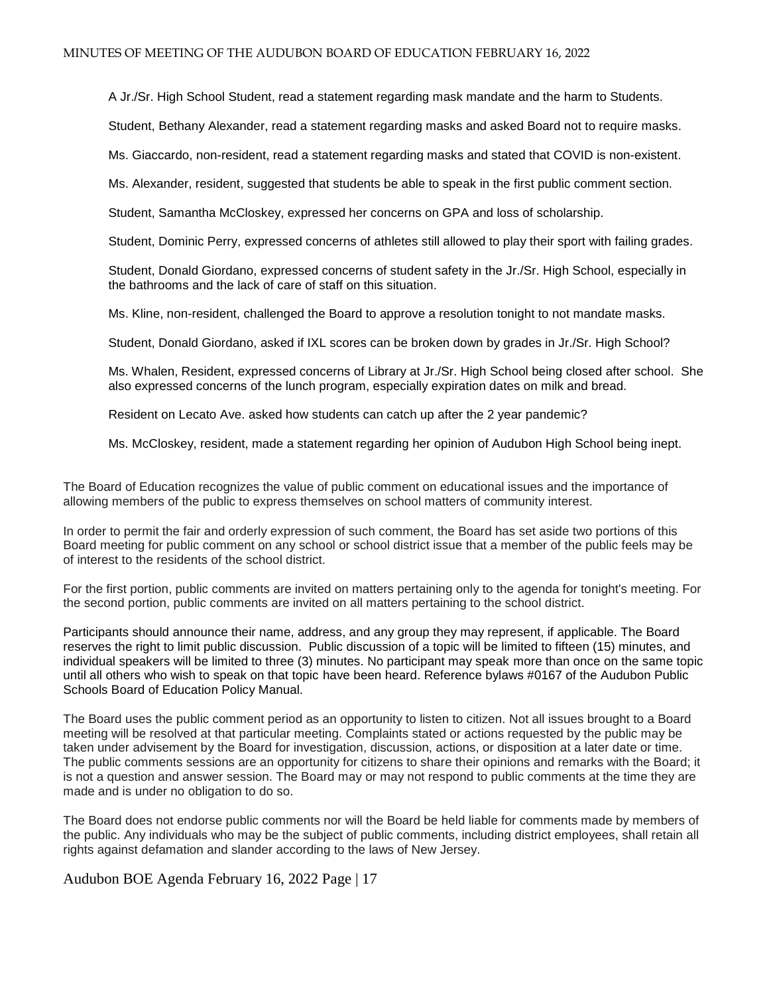A Jr./Sr. High School Student, read a statement regarding mask mandate and the harm to Students.

Student, Bethany Alexander, read a statement regarding masks and asked Board not to require masks.

Ms. Giaccardo, non-resident, read a statement regarding masks and stated that COVID is non-existent.

Ms. Alexander, resident, suggested that students be able to speak in the first public comment section.

Student, Samantha McCloskey, expressed her concerns on GPA and loss of scholarship.

Student, Dominic Perry, expressed concerns of athletes still allowed to play their sport with failing grades.

Student, Donald Giordano, expressed concerns of student safety in the Jr./Sr. High School, especially in the bathrooms and the lack of care of staff on this situation.

Ms. Kline, non-resident, challenged the Board to approve a resolution tonight to not mandate masks.

Student, Donald Giordano, asked if IXL scores can be broken down by grades in Jr./Sr. High School?

Ms. Whalen, Resident, expressed concerns of Library at Jr./Sr. High School being closed after school. She also expressed concerns of the lunch program, especially expiration dates on milk and bread.

Resident on Lecato Ave. asked how students can catch up after the 2 year pandemic?

Ms. McCloskey, resident, made a statement regarding her opinion of Audubon High School being inept.

The Board of Education recognizes the value of public comment on educational issues and the importance of allowing members of the public to express themselves on school matters of community interest.

In order to permit the fair and orderly expression of such comment, the Board has set aside two portions of this Board meeting for public comment on any school or school district issue that a member of the public feels may be of interest to the residents of the school district.

For the first portion, public comments are invited on matters pertaining only to the agenda for tonight's meeting. For the second portion, public comments are invited on all matters pertaining to the school district.

Participants should announce their name, address, and any group they may represent, if applicable. The Board reserves the right to limit public discussion. Public discussion of a topic will be limited to fifteen (15) minutes, and individual speakers will be limited to three (3) minutes. No participant may speak more than once on the same topic until all others who wish to speak on that topic have been heard. Reference bylaws #0167 of the Audubon Public Schools Board of Education Policy Manual.

The Board uses the public comment period as an opportunity to listen to citizen. Not all issues brought to a Board meeting will be resolved at that particular meeting. Complaints stated or actions requested by the public may be taken under advisement by the Board for investigation, discussion, actions, or disposition at a later date or time. The public comments sessions are an opportunity for citizens to share their opinions and remarks with the Board; it is not a question and answer session. The Board may or may not respond to public comments at the time they are made and is under no obligation to do so.

The Board does not endorse public comments nor will the Board be held liable for comments made by members of the public. Any individuals who may be the subject of public comments, including district employees, shall retain all rights against defamation and slander according to the laws of New Jersey.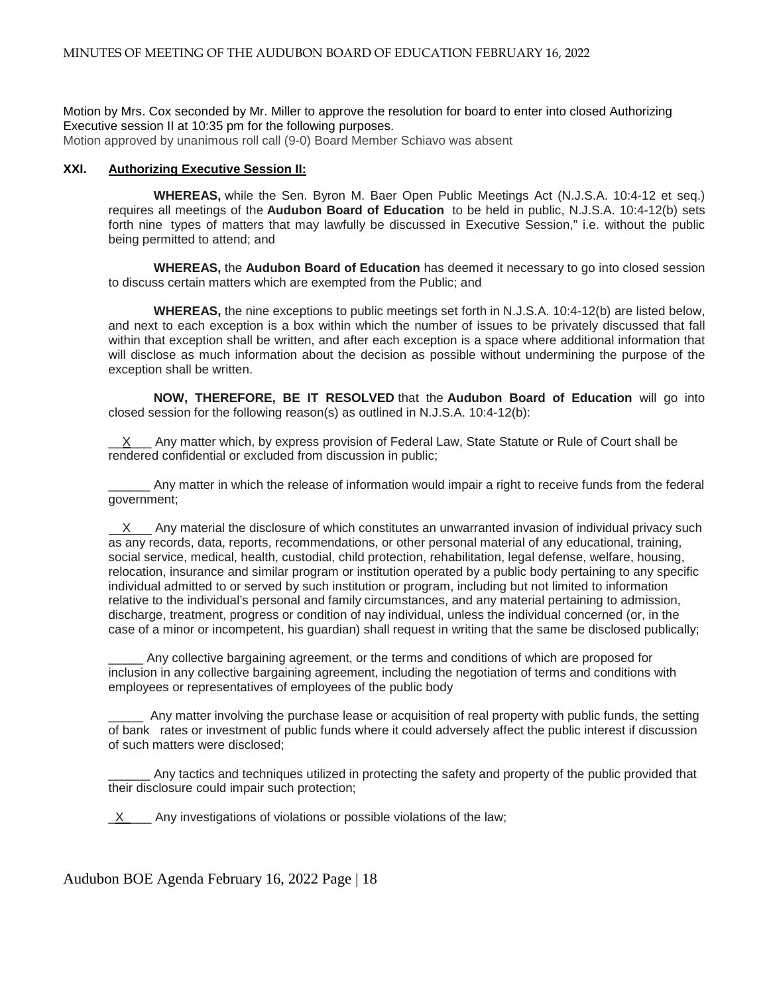Motion by Mrs. Cox seconded by Mr. Miller to approve the resolution for board to enter into closed Authorizing Executive session II at 10:35 pm for the following purposes.

Motion approved by unanimous roll call (9-0) Board Member Schiavo was absent

## **XXI. Authorizing Executive Session II:**

**WHEREAS,** while the Sen. Byron M. Baer Open Public Meetings Act (N.J.S.A. 10:4-12 et seq.) requires all meetings of the **Audubon Board of Education** to be held in public, N.J.S.A. 10:4-12(b) sets forth nine types of matters that may lawfully be discussed in Executive Session," i.e. without the public being permitted to attend; and

**WHEREAS,** the **Audubon Board of Education** has deemed it necessary to go into closed session to discuss certain matters which are exempted from the Public; and

**WHEREAS,** the nine exceptions to public meetings set forth in N.J.S.A. 10:4-12(b) are listed below, and next to each exception is a box within which the number of issues to be privately discussed that fall within that exception shall be written, and after each exception is a space where additional information that will disclose as much information about the decision as possible without undermining the purpose of the exception shall be written.

**NOW, THEREFORE, BE IT RESOLVED** that the **Audubon Board of Education** will go into closed session for the following reason(s) as outlined in N.J.S.A. 10:4-12(b):

 $X$  Any matter which, by express provision of Federal Law, State Statute or Rule of Court shall be rendered confidential or excluded from discussion in public;

Any matter in which the release of information would impair a right to receive funds from the federal government;

 X Any material the disclosure of which constitutes an unwarranted invasion of individual privacy such as any records, data, reports, recommendations, or other personal material of any educational, training, social service, medical, health, custodial, child protection, rehabilitation, legal defense, welfare, housing, relocation, insurance and similar program or institution operated by a public body pertaining to any specific individual admitted to or served by such institution or program, including but not limited to information relative to the individual's personal and family circumstances, and any material pertaining to admission, discharge, treatment, progress or condition of nay individual, unless the individual concerned (or, in the case of a minor or incompetent, his guardian) shall request in writing that the same be disclosed publically;

Any collective bargaining agreement, or the terms and conditions of which are proposed for inclusion in any collective bargaining agreement, including the negotiation of terms and conditions with employees or representatives of employees of the public body

\_\_\_\_\_ Any matter involving the purchase lease or acquisition of real property with public funds, the setting of bank rates or investment of public funds where it could adversely affect the public interest if discussion of such matters were disclosed;

Any tactics and techniques utilized in protecting the safety and property of the public provided that their disclosure could impair such protection;

X Any investigations of violations or possible violations of the law;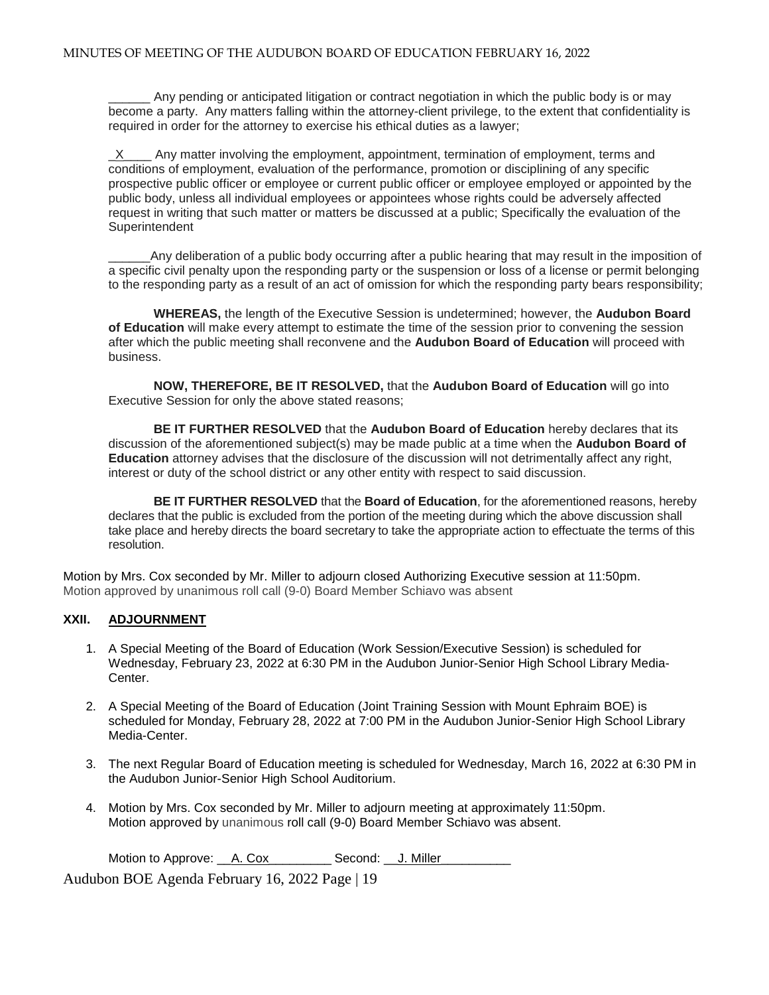Any pending or anticipated litigation or contract negotiation in which the public body is or may become a party. Any matters falling within the attorney-client privilege, to the extent that confidentiality is required in order for the attorney to exercise his ethical duties as a lawyer;

X Any matter involving the employment, appointment, termination of employment, terms and conditions of employment, evaluation of the performance, promotion or disciplining of any specific prospective public officer or employee or current public officer or employee employed or appointed by the public body, unless all individual employees or appointees whose rights could be adversely affected request in writing that such matter or matters be discussed at a public; Specifically the evaluation of the **Superintendent** 

Any deliberation of a public body occurring after a public hearing that may result in the imposition of a specific civil penalty upon the responding party or the suspension or loss of a license or permit belonging to the responding party as a result of an act of omission for which the responding party bears responsibility;

**WHEREAS,** the length of the Executive Session is undetermined; however, the **Audubon Board of Education** will make every attempt to estimate the time of the session prior to convening the session after which the public meeting shall reconvene and the **Audubon Board of Education** will proceed with business.

**NOW, THEREFORE, BE IT RESOLVED,** that the **Audubon Board of Education** will go into Executive Session for only the above stated reasons;

**BE IT FURTHER RESOLVED** that the **Audubon Board of Education** hereby declares that its discussion of the aforementioned subject(s) may be made public at a time when the **Audubon Board of Education** attorney advises that the disclosure of the discussion will not detrimentally affect any right, interest or duty of the school district or any other entity with respect to said discussion.

**BE IT FURTHER RESOLVED** that the **Board of Education**, for the aforementioned reasons, hereby declares that the public is excluded from the portion of the meeting during which the above discussion shall take place and hereby directs the board secretary to take the appropriate action to effectuate the terms of this resolution.

Motion by Mrs. Cox seconded by Mr. Miller to adjourn closed Authorizing Executive session at 11:50pm. Motion approved by unanimous roll call (9-0) Board Member Schiavo was absent

## **XXII. ADJOURNMENT**

- 1. A Special Meeting of the Board of Education (Work Session/Executive Session) is scheduled for Wednesday, February 23, 2022 at 6:30 PM in the Audubon Junior-Senior High School Library Media-Center.
- 2. A Special Meeting of the Board of Education (Joint Training Session with Mount Ephraim BOE) is scheduled for Monday, February 28, 2022 at 7:00 PM in the Audubon Junior-Senior High School Library Media-Center.
- 3. The next Regular Board of Education meeting is scheduled for Wednesday, March 16, 2022 at 6:30 PM in the Audubon Junior-Senior High School Auditorium.
- 4. Motion by Mrs. Cox seconded by Mr. Miller to adjourn meeting at approximately 11:50pm. Motion approved by unanimous roll call (9-0) Board Member Schiavo was absent.

Motion to Approve: \_\_A. Cox\_\_\_\_\_\_\_\_\_ Second: \_\_J. Miller\_\_\_\_\_\_\_\_\_\_